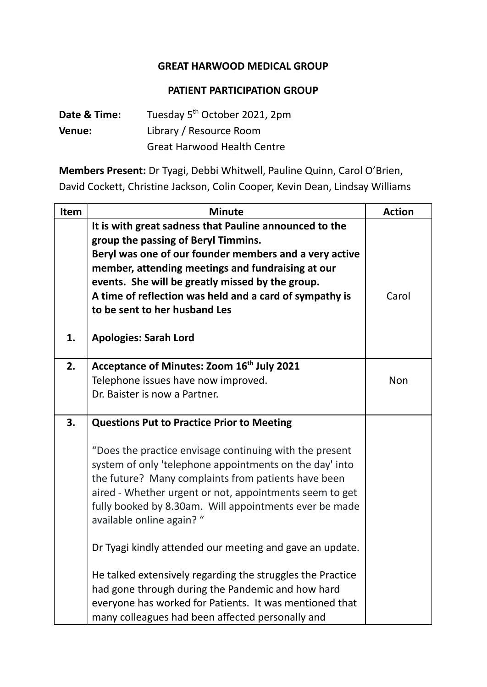## **GREAT HARWOOD MEDICAL GROUP**

## **PATIENT PARTICIPATION GROUP**

| Date & Time:  | Tuesday 5 <sup>th</sup> October 2021, 2pm |
|---------------|-------------------------------------------|
| <b>Venue:</b> | Library / Resource Room                   |
|               | <b>Great Harwood Health Centre</b>        |

**Members Present:** Dr Tyagi, Debbi Whitwell, Pauline Quinn, Carol O'Brien, David Cockett, Christine Jackson, Colin Cooper, Kevin Dean, Lindsay Williams

| Item | <b>Minute</b>                                                                                                                                                                                                                                                                                                                                                                                | <b>Action</b> |
|------|----------------------------------------------------------------------------------------------------------------------------------------------------------------------------------------------------------------------------------------------------------------------------------------------------------------------------------------------------------------------------------------------|---------------|
| 1.   | It is with great sadness that Pauline announced to the<br>group the passing of Beryl Timmins.<br>Beryl was one of our founder members and a very active<br>member, attending meetings and fundraising at our<br>events. She will be greatly missed by the group.<br>A time of reflection was held and a card of sympathy is<br>to be sent to her husband Les<br><b>Apologies: Sarah Lord</b> | Carol         |
|      |                                                                                                                                                                                                                                                                                                                                                                                              |               |
| 2.   | Acceptance of Minutes: Zoom 16 <sup>th</sup> July 2021<br>Telephone issues have now improved.<br>Dr. Baister is now a Partner.                                                                                                                                                                                                                                                               | <b>Non</b>    |
| 3.   | <b>Questions Put to Practice Prior to Meeting</b>                                                                                                                                                                                                                                                                                                                                            |               |
|      | "Does the practice envisage continuing with the present<br>system of only 'telephone appointments on the day' into<br>the future? Many complaints from patients have been<br>aired - Whether urgent or not, appointments seem to get<br>fully booked by 8.30am. Will appointments ever be made<br>available online again? "                                                                  |               |
|      | Dr Tyagi kindly attended our meeting and gave an update.                                                                                                                                                                                                                                                                                                                                     |               |
|      | He talked extensively regarding the struggles the Practice<br>had gone through during the Pandemic and how hard<br>everyone has worked for Patients. It was mentioned that<br>many colleagues had been affected personally and                                                                                                                                                               |               |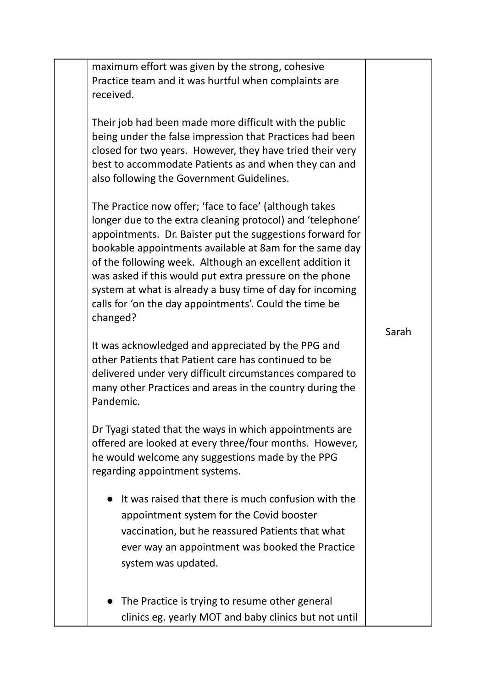| maximum effort was given by the strong, cohesive<br>Practice team and it was hurtful when complaints are<br>received.                                                                                                                                                                                                                                                                                                                                                                                                                                                                                                                                                            |       |
|----------------------------------------------------------------------------------------------------------------------------------------------------------------------------------------------------------------------------------------------------------------------------------------------------------------------------------------------------------------------------------------------------------------------------------------------------------------------------------------------------------------------------------------------------------------------------------------------------------------------------------------------------------------------------------|-------|
| Their job had been made more difficult with the public<br>being under the false impression that Practices had been<br>closed for two years. However, they have tried their very<br>best to accommodate Patients as and when they can and<br>also following the Government Guidelines.                                                                                                                                                                                                                                                                                                                                                                                            |       |
| The Practice now offer; 'face to face' (although takes<br>longer due to the extra cleaning protocol) and 'telephone'<br>appointments. Dr. Baister put the suggestions forward for<br>bookable appointments available at 8am for the same day<br>of the following week. Although an excellent addition it<br>was asked if this would put extra pressure on the phone<br>system at what is already a busy time of day for incoming<br>calls for 'on the day appointments'. Could the time be<br>changed?<br>It was acknowledged and appreciated by the PPG and<br>other Patients that Patient care has continued to be<br>delivered under very difficult circumstances compared to | Sarah |
| many other Practices and areas in the country during the<br>Pandemic.<br>Dr Tyagi stated that the ways in which appointments are<br>offered are looked at every three/four months. However,                                                                                                                                                                                                                                                                                                                                                                                                                                                                                      |       |
| he would welcome any suggestions made by the PPG<br>regarding appointment systems.                                                                                                                                                                                                                                                                                                                                                                                                                                                                                                                                                                                               |       |
| It was raised that there is much confusion with the<br>appointment system for the Covid booster<br>vaccination, but he reassured Patients that what<br>ever way an appointment was booked the Practice<br>system was updated.                                                                                                                                                                                                                                                                                                                                                                                                                                                    |       |
| The Practice is trying to resume other general<br>clinics eg. yearly MOT and baby clinics but not until                                                                                                                                                                                                                                                                                                                                                                                                                                                                                                                                                                          |       |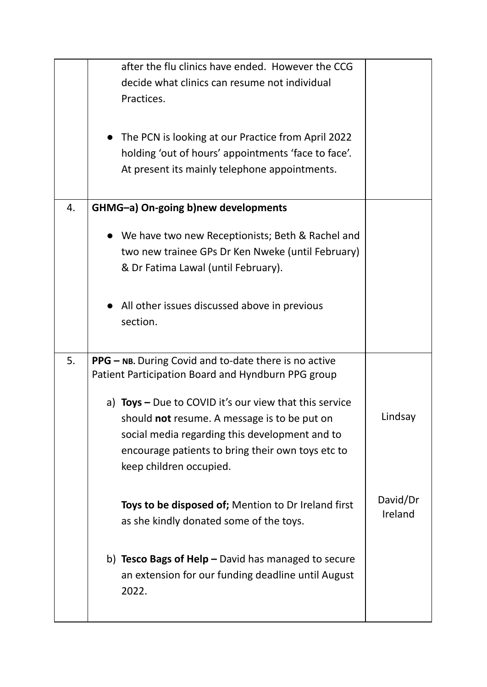|    | after the flu clinics have ended. However the CCG<br>decide what clinics can resume not individual<br>Practices.<br>The PCN is looking at our Practice from April 2022<br>holding 'out of hours' appointments 'face to face'.<br>At present its mainly telephone appointments. |                     |
|----|--------------------------------------------------------------------------------------------------------------------------------------------------------------------------------------------------------------------------------------------------------------------------------|---------------------|
| 4. | GHMG-a) On-going b)new developments                                                                                                                                                                                                                                            |                     |
|    | • We have two new Receptionists; Beth & Rachel and<br>two new trainee GPs Dr Ken Nweke (until February)<br>& Dr Fatima Lawal (until February).                                                                                                                                 |                     |
|    | All other issues discussed above in previous<br>section.                                                                                                                                                                                                                       |                     |
| 5. | PPG - NB. During Covid and to-date there is no active<br>Patient Participation Board and Hyndburn PPG group                                                                                                                                                                    |                     |
|    | a) Toys - Due to COVID it's our view that this service<br>should not resume. A message is to be put on<br>social media regarding this development and to<br>encourage patients to bring their own toys etc to<br>keep children occupied.                                       | Lindsay             |
|    | Toys to be disposed of; Mention to Dr Ireland first<br>as she kindly donated some of the toys.                                                                                                                                                                                 | David/Dr<br>Ireland |
|    | b) Tesco Bags of $\text{Help}$ - David has managed to secure<br>an extension for our funding deadline until August<br>2022.                                                                                                                                                    |                     |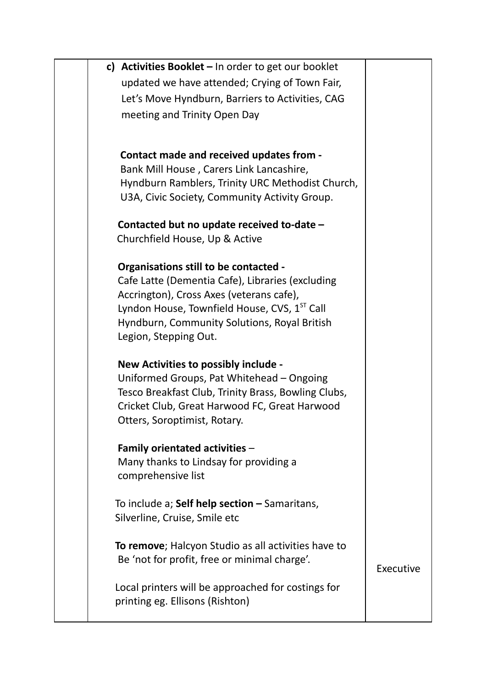| c) Activities Booklet $-$ In order to get our booklet                                            |           |
|--------------------------------------------------------------------------------------------------|-----------|
| updated we have attended; Crying of Town Fair,                                                   |           |
| Let's Move Hyndburn, Barriers to Activities, CAG                                                 |           |
| meeting and Trinity Open Day                                                                     |           |
|                                                                                                  |           |
| Contact made and received updates from -                                                         |           |
| Bank Mill House, Carers Link Lancashire,                                                         |           |
| Hyndburn Ramblers, Trinity URC Methodist Church,                                                 |           |
| U3A, Civic Society, Community Activity Group.                                                    |           |
|                                                                                                  |           |
| Contacted but no update received to-date -                                                       |           |
| Churchfield House, Up & Active                                                                   |           |
| <b>Organisations still to be contacted -</b>                                                     |           |
| Cafe Latte (Dementia Cafe), Libraries (excluding                                                 |           |
| Accrington), Cross Axes (veterans cafe),                                                         |           |
| Lyndon House, Townfield House, CVS, 1 <sup>ST</sup> Call                                         |           |
| Hyndburn, Community Solutions, Royal British                                                     |           |
| Legion, Stepping Out.                                                                            |           |
|                                                                                                  |           |
| New Activities to possibly include -                                                             |           |
| Uniformed Groups, Pat Whitehead - Ongoing<br>Tesco Breakfast Club, Trinity Brass, Bowling Clubs, |           |
| Cricket Club, Great Harwood FC, Great Harwood                                                    |           |
| Otters, Soroptimist, Rotary.                                                                     |           |
|                                                                                                  |           |
| Family orientated activities -                                                                   |           |
| Many thanks to Lindsay for providing a                                                           |           |
| comprehensive list                                                                               |           |
|                                                                                                  |           |
| To include a; Self help section - Samaritans,<br>Silverline, Cruise, Smile etc                   |           |
|                                                                                                  |           |
| To remove; Halcyon Studio as all activities have to                                              |           |
| Be 'not for profit, free or minimal charge'.                                                     |           |
|                                                                                                  | Executive |
| Local printers will be approached for costings for                                               |           |
| printing eg. Ellisons (Rishton)                                                                  |           |
|                                                                                                  |           |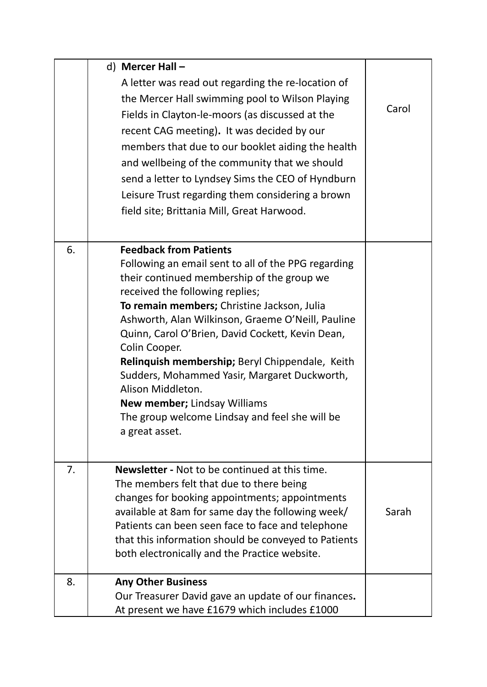|    | d) Mercer Hall -<br>A letter was read out regarding the re-location of<br>the Mercer Hall swimming pool to Wilson Playing<br>Fields in Clayton-le-moors (as discussed at the<br>recent CAG meeting). It was decided by our<br>members that due to our booklet aiding the health<br>and wellbeing of the community that we should                                                                                                                                                                                                                                                  | Carol |
|----|-----------------------------------------------------------------------------------------------------------------------------------------------------------------------------------------------------------------------------------------------------------------------------------------------------------------------------------------------------------------------------------------------------------------------------------------------------------------------------------------------------------------------------------------------------------------------------------|-------|
|    | send a letter to Lyndsey Sims the CEO of Hyndburn<br>Leisure Trust regarding them considering a brown<br>field site; Brittania Mill, Great Harwood.                                                                                                                                                                                                                                                                                                                                                                                                                               |       |
| 6. | <b>Feedback from Patients</b><br>Following an email sent to all of the PPG regarding<br>their continued membership of the group we<br>received the following replies;<br>To remain members; Christine Jackson, Julia<br>Ashworth, Alan Wilkinson, Graeme O'Neill, Pauline<br>Quinn, Carol O'Brien, David Cockett, Kevin Dean,<br>Colin Cooper.<br>Relinquish membership; Beryl Chippendale, Keith<br>Sudders, Mohammed Yasir, Margaret Duckworth,<br>Alison Middleton.<br><b>New member; Lindsay Williams</b><br>The group welcome Lindsay and feel she will be<br>a great asset. |       |
| 7. | <b>Newsletter - Not to be continued at this time.</b><br>The members felt that due to there being<br>changes for booking appointments; appointments<br>available at 8am for same day the following week/<br>Patients can been seen face to face and telephone<br>that this information should be conveyed to Patients<br>both electronically and the Practice website.                                                                                                                                                                                                            | Sarah |
| 8. | <b>Any Other Business</b><br>Our Treasurer David gave an update of our finances.<br>At present we have £1679 which includes £1000                                                                                                                                                                                                                                                                                                                                                                                                                                                 |       |